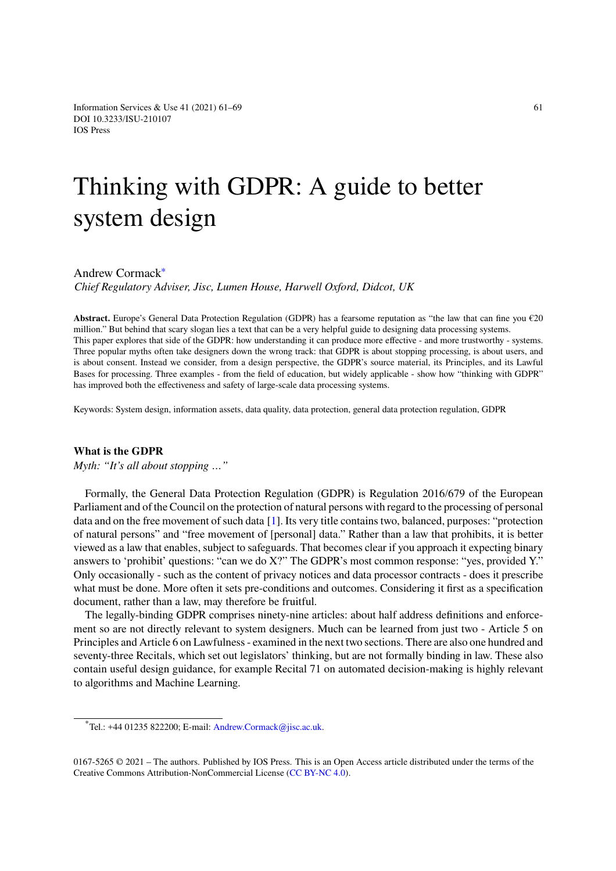**What is the GDPR**

*Myth: "It's all about stopping …"*

# T[hinking](http://dx.doi.org/10.3233/ISU-210107) with GDPR: A guide to better system design

Andrew Cormack<sup>∗</sup> *Chief Regulatory Adviser, Jisc, Lumen House, Harwell Oxford, Didcot, UK*

**Abstract.** Europe's Ge[ne](#page-0-0)ral Data Protection Regulation (GDPR) has a fearsome reputation as "the law that can fine you  $\epsilon$ 20 million." But behind that scary slogan lies a text that can be a very helpful guide to designing data processing systems. This paper explores that side of the GDPR: how understanding it can produce more effective - and more trustworthy - systems. Three popular myths often take designers down the wrong track: that GDPR is about stopping processing, is about users, and is about consent. Instead we consider, from a design perspective, the GDPR's source material, its Principles, and its Lawful Bases for processing. Three examples - from the field of education, but widely applicable - show how "thinking with GDPR" has improved both the effectiveness and safety of large-scale data processing systems.

Keywords: System design, information assets, data quality, data protection, general data protection regulation, GDPR

Formally, the General Data Protection Regulation (GDPR) is Regulation 2016/679 of the European Parliament and of the Council on the protection of natural persons with regard to the processing of personal data and on the free movement of such data [1]. Its very title contains two, balanced, purposes: "protection of natural persons" and "free movement of [personal] data." Rather than a law that prohibits, it is better viewed as a law that enables, subject to safeguards. That becomes clear if you approach it expecting binary answers to 'prohibit' questions: "can we do X?" The GDPR's most common response: "yes, provided Y." Only occasionally - such as the content of privacy notices and data processor contracts - does it prescribe what must be done. More often it sets pre-conditions and outcomes. Considering it first as a specification document, rather than a law, may therefore be fruitful.

The legally-binding GDPR comprises ninety-nine articles: about half address definitions and enforcement so are not directly relevant to system designers. Much can be learned from just two - Article 5 on Principles and Article 6 on Lawfulness - examined in the next two sections. There are also one hundred and seventy-three Recitals, which set out legislators' thinking, but are not formally binding in law. These also contain useful design guidance, for example Recital 71 on automated decision-making is highly relevant to algorithms and Machine Learning.

 $^{\ast}$ Tel.: +44 01235 822200; E-mail: Andrew.Cormack@jisc.ac.uk.

<span id="page-0-0"></span><sup>0167-5265 © 2021 –</sup> The authors. Published by IOS Press. This is an Open Access article distributed under the terms of the Creative Commons Attribution-Non[Commercial License \(CC BY-N](mailto:Andrew.Cormack@jisc.ac.uk)C 4.0).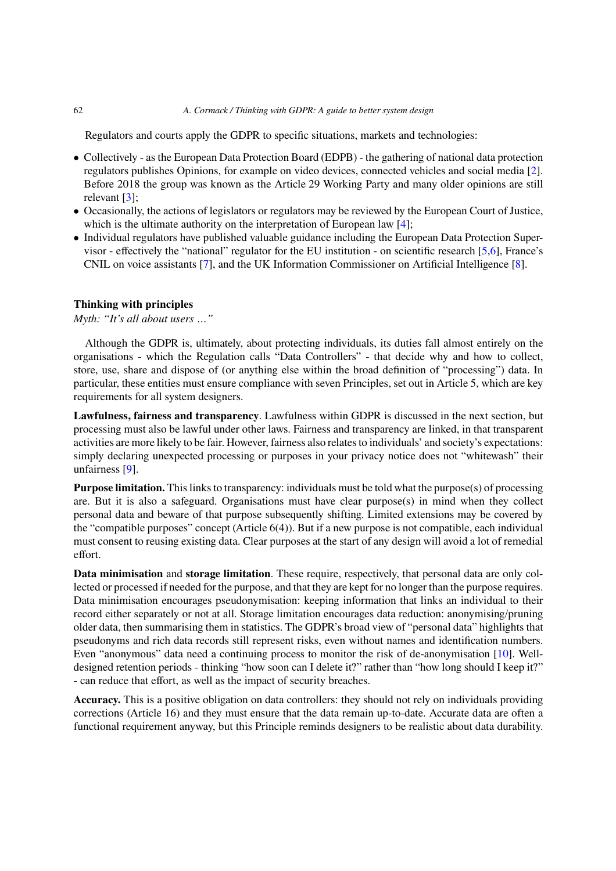Regulators and courts apply the GDPR to specific situations, markets and technologies:

- Collectively as the European Data Protection Board (EDPB) the gathering of national data protection regulators publishes Opinions, for example on video devices, connected vehicles and social media [2]. Before 2018 the group was known as the Article 29 Working Party and many older opinions are still relevant [3];
- Occasionally, the actions of legislators or regulators may be reviewed by the European Court of Justice, which is the ultimate authority on the interpretation of European law [4];
- Individual regulators have published valuable guidance including the European Data Protection Supervisor - effectively the "national" regulator for the EU institution - on scientific research [5,6], France's CNIL on voice assistants [7], and the UK Information Commissioner on Artificial Intelligence [8].

# **Thinking with principles**

*Myth: "It's all about users …"*

Although the GDPR is, ultimately, about protecting individuals, its duties fall almost entirely on the organisations - which the Regulation calls "Data Controllers" - that decide why and how to collect, store, use, share and dispose of (or anything else within the broad definition of "processing") data. In particular, these entities must ensure compliance with seven Principles, set out in Article 5, which are key requirements for all system designers.

**Lawfulness, fairness and transparency**. Lawfulness within GDPR is discussed in the next section, but processing must also be lawful under other laws. Fairness and transparency are linked, in that transparent activities are more likely to be fair. However, fairness also relates to individuals' and society's expectations: simply declaring unexpected processing or purposes in your privacy notice does not "whitewash" their unfairness [9].

**Purpose limitation.** This links to transparency: individuals must be told what the purpose(s) of processing are. But it is also a safeguard. Organisations must have clear purpose(s) in mind when they collect personal data and beware of that purpose subsequently shifting. Limited extensions may be covered by the "compatible purposes" concept (Article 6(4)). But if a new purpose is not compatible, each individual must consent to reusing existing data. Clear purposes at the start of any design will avoid a lot of remedial effort.

**Data minimisation** and **storage limitation**. These require, respectively, that personal data are only collected or processed if needed for the purpose, and that they are kept for no longer than the purpose requires. Data minimisation encourages pseudonymisation: keeping information that links an individual to their record either separately or not at all. Storage limitation encourages data reduction: anonymising/pruning older data, then summarising them in statistics. The GDPR's broad view of "personal data" highlights that pseudonyms and rich data records still represent risks, even without names and identification numbers. Even "anonymous" data need a continuing process to monitor the risk of de-anonymisation [10]. Welldesigned retention periods - thinking "how soon can I delete it?" rather than "how long should I keep it?" - can reduce that effort, as well as the impact of security breaches.

**Accuracy.** This is a positive obligation on data controllers: they should not rely on individuals providing corrections (Article 16) and they must ensure that the data remain up-to-date. Accurate data are often a functional requirement anyway, but this Principle reminds designers to be realistic about data durability.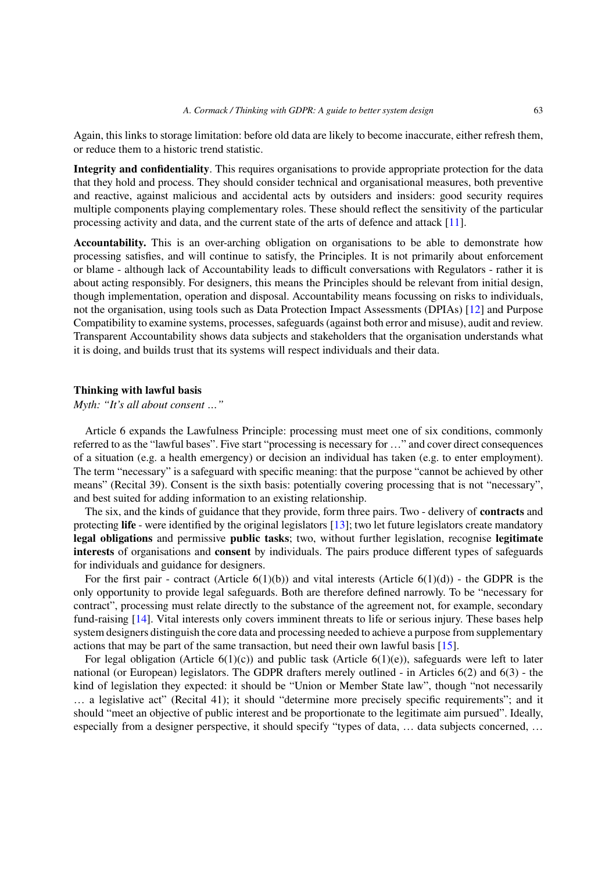Again, this links to storage limitation: before old data are likely to become inaccurate, either refresh them, or reduce them to a historic trend statistic.

**Integrity and confidentiality**. This requires organisations to provide appropriate protection for the data that they hold and process. They should consider technical and organisational measures, both preventive and reactive, against malicious and accidental acts by outsiders and insiders: good security requires multiple components playing complementary roles. These should reflect the sensitivity of the particular processing activity and data, and the current state of the arts of defence and attack [11].

**Accountability.** This is an over-arching obligation on organisations to be able to demonstrate how processing satisfies, and will continue to satisfy, the Principles. It is not primarily about enforcement or blame - although lack of Accountability leads to difficult conversations with Regulators - rather it is about acting responsibly. For designers, this means the Principles should be relevant from initial design, though implementation, operation and disposal. Accountability means focussing on risks to individuals, not the organisation, using tools such as Data Protection Impact Assessments (DPIAs) [12] and Purpose Compatibility to examine systems, processes, safeguards (against both error and misuse), audit and review. Transparent Accountability shows data subjects and stakeholders that the organisation understands what it is doing, and builds trust that its systems will respect individuals and their data.

# **Thinking with lawful basis**

*Myth: "It's all about consent …"*

Article 6 expands the Lawfulness Principle: processing must meet one of six conditions, commonly referred to as the "lawful bases". Five start "processing is necessary for …" and cover direct consequences of a situation (e.g. a health emergency) or decision an individual has taken (e.g. to enter employment). The term "necessary" is a safeguard with specific meaning: that the purpose "cannot be achieved by other means" (Recital 39). Consent is the sixth basis: potentially covering processing that is not "necessary", and best suited for adding information to an existing relationship.

The six, and the kinds of guidance that they provide, form three pairs. Two - delivery of **contracts** and protecting **life** - were identified by the original legislators [13]; two let future legislators create mandatory **legal obligations** and permissive **public tasks**; two, without further legislation, recognise **legitimate interests** of organisations and **consent** by individuals. The pairs produce different types of safeguards for individuals and guidance for designers.

For the first pair - contract (Article  $6(1)(b)$ ) and vital interests (Article  $6(1)(d)$ ) - the GDPR is the only opportunity to provide legal safeguards. Both are therefore defined narrowly. To be "necessary for contract", processing must relate directly to the substance of the agreement not, for example, secondary fund-raising [14]. Vital interests only covers imminent threats to life or serious injury. These bases help system designers distinguish the core data and processing needed to achieve a purpose from supplementary actions that may be part of the same transaction, but need their own lawful basis [15].

For legal obligation (Article  $6(1)(c)$ ) and public task (Article  $6(1)(e)$ ), safeguards were left to later national (or European) legislators. The GDPR drafters merely outlined - in Articles 6(2) and 6(3) - the kind of legislation they expected: it should be "Union or Member State law", though "not necessarily … a legislative act" (Recital 41); it should "determine more precisely specific requirements"; and it should "meet an objective of public interest and be proportionate to the legitimate aim pursued". Ideally, especially from a designer perspective, it should specify "types of data, … data subjects concerned, …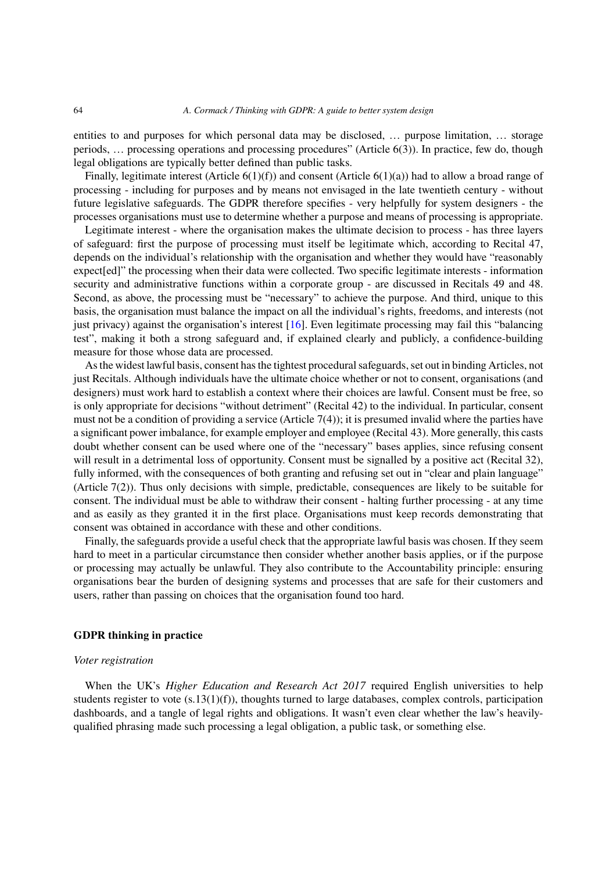entities to and purposes for which personal data may be disclosed, … purpose limitation, … storage periods, … processing operations and processing procedures" (Article 6(3)). In practice, few do, though legal obligations are typically better defined than public tasks.

Finally, legitimate interest (Article 6(1)(f)) and consent (Article 6(1)(a)) had to allow a broad range of processing - including for purposes and by means not envisaged in the late twentieth century - without future legislative safeguards. The GDPR therefore specifies - very helpfully for system designers - the processes organisations must use to determine whether a purpose and means of processing is appropriate.

Legitimate interest - where the organisation makes the ultimate decision to process - has three layers of safeguard: first the purpose of processing must itself be legitimate which, according to Recital 47, depends on the individual's relationship with the organisation and whether they would have "reasonably expect[ed]" the processing when their data were collected. Two specific legitimate interests - information security and administrative functions within a corporate group - are discussed in Recitals 49 and 48. Second, as above, the processing must be "necessary" to achieve the purpose. And third, unique to this basis, the organisation must balance the impact on all the individual's rights, freedoms, and interests (not just privacy) against the organisation's interest [16]. Even legitimate processing may fail this "balancing test", making it both a strong safeguard and, if explained clearly and publicly, a confidence-building measure for those whose data are processed.

As the widest lawful basis, consent has the tightest procedural safeguards, set out in binding Articles, not just Recitals. Although individuals have the ultimate choice whether or not to consent, organisations (and designers) must work hard to establish a context where their choices are lawful. Consent must be free, so is only appropriate for decisions "without detriment" (Recital 42) to the individual. In particular, consent must not be a condition of providing a service (Article  $7(4)$ ); it is presumed invalid where the parties have a significant power imbalance, for example employer and employee (Recital 43). More generally, this casts doubt whether consent can be used where one of the "necessary" bases applies, since refusing consent will result in a detrimental loss of opportunity. Consent must be signalled by a positive act (Recital 32), fully informed, with the consequences of both granting and refusing set out in "clear and plain language" (Article 7(2)). Thus only decisions with simple, predictable, consequences are likely to be suitable for consent. The individual must be able to withdraw their consent - halting further processing - at any time and as easily as they granted it in the first place. Organisations must keep records demonstrating that consent was obtained in accordance with these and other conditions.

Finally, the safeguards provide a useful check that the appropriate lawful basis was chosen. If they seem hard to meet in a particular circumstance then consider whether another basis applies, or if the purpose or processing may actually be unlawful. They also contribute to the Accountability principle: ensuring organisations bear the burden of designing systems and processes that are safe for their customers and users, rather than passing on choices that the organisation found too hard.

#### **GDPR thinking in practice**

#### *Voter registration*

When the UK's *Higher Education and Research Act 2017* required English universities to help students register to vote (s.13(1)(f)), thoughts turned to large databases, complex controls, participation dashboards, and a tangle of legal rights and obligations. It wasn't even clear whether the law's heavilyqualified phrasing made such processing a legal obligation, a public task, or something else.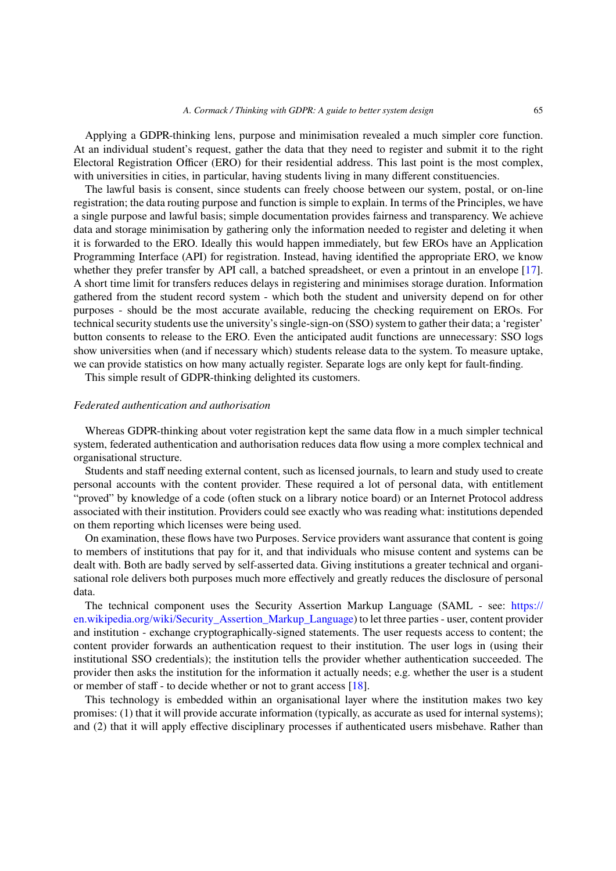Applying a GDPR-thinking lens, purpose and minimisation revealed a much simpler core function. At an individual student's request, gather the data that they need to register and submit it to the right Electoral Registration Officer (ERO) for their residential address. This last point is the most complex, with universities in cities, in particular, having students living in many different constituencies.

The lawful basis is consent, since students can freely choose between our system, postal, or on-line registration; the data routing purpose and function is simple to explain. In terms of the Principles, we have a single purpose and lawful basis; simple documentation provides fairness and transparency. We achieve data and storage minimisation by gathering only the information needed to register and deleting it when it is forwarded to the ERO. Ideally this would happen immediately, but few EROs have an Application Programming Interface (API) for registration. Instead, having identified the appropriate ERO, we know whether they prefer transfer by API call, a batched spreadsheet, or even a printout in an envelope [17]. A short time limit for transfers reduces delays in registering and minimises storage duration. Information gathered from the student record system - which both the student and university depend on for other purposes - should be the most accurate available, reducing the checking requirement on EROs. For technical security students use the university's single-sign-on (SSO) system to gather their data; a 'register' button consents to release to the ERO. Even the anticipated audit functions are unnecessary: SSO logs show universities when (and if necessary which) students release data to the system. To measure uptake, we can provide statistics on how many actually register. Separate logs are only kept for fault-finding.

This simple result of GDPR-thinking delighted its customers.

#### *Federated authentication and authorisation*

Whereas GDPR-thinking about voter registration kept the same data flow in a much simpler technical system, federated authentication and authorisation reduces data flow using a more complex technical and organisational structure.

Students and staff needing external content, such as licensed journals, to learn and study used to create personal accounts with the content provider. These required a lot of personal data, with entitlement "proved" by knowledge of a code (often stuck on a library notice board) or an Internet Protocol address associated with their institution. Providers could see exactly who was reading what: institutions depended on them reporting which licenses were being used.

On examination, these flows have two Purposes. Service providers want assurance that content is going to members of institutions that pay for it, and that individuals who misuse content and systems can be dealt with. Both are badly served by self-asserted data. Giving institutions a greater technical and organisational role delivers both purposes much more effectively and greatly reduces the disclosure of personal data.

The technical component uses the Security Assertion Markup Language (SAML - see: https:// en.wikipedia.org/wiki/Security\_Assertion\_Markup\_Language) to let three parties - user, content provider and institution - exchange cryptographically-signed statements. The user requests access to content; the content provider forwards an authentication request to their institution. The user logs in (using their institutional SSO credentials); the institution tells the provider whether authentication succeed[ed. The](https://en.wikipedia.org/wiki/Security_Assertion_Markup_Language) [provider then asks the institution for the information it actuall](https://en.wikipedia.org/wiki/Security_Assertion_Markup_Language)y needs; e.g. whether the user is a student or member of staff - to decide whether or not to grant access [18].

This technology is embedded within an organisational layer where the institution makes two key promises: (1) that it will provide accurate information (typically, as accurate as used for internal systems); and (2) that it will apply effective disciplinary processes if authenticated users misbehave. Rather than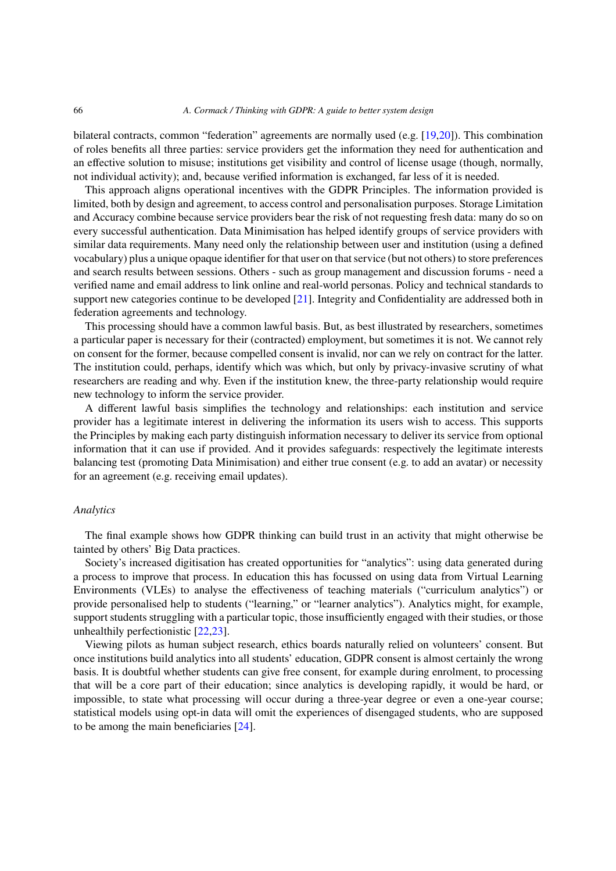bilateral contracts, common "federation" agreements are normally used (e.g. [19,20]). This combination of roles benefits all three parties: service providers get the information they need for authentication and an effective solution to misuse; institutions get visibility and control of license usage (though, normally, not individual activity); and, because verified information is exchanged, far less of it is needed.

This approach aligns operational incentives with the GDPR Principles. The information provided is limited, both by design and agreement, to access control and personalisation purposes. Storage Limitation and Accuracy combine because service providers bear the risk of not requesting fresh data: many do so on every successful authentication. Data Minimisation has helped identify groups of service providers with similar data requirements. Many need only the relationship between user and institution (using a defined vocabulary) plus a unique opaque identifier for that user on that service (but not others) to store preferences and search results between sessions. Others - such as group management and discussion forums - need a verified name and email address to link online and real-world personas. Policy and technical standards to support new categories continue to be developed  $[21]$ . Integrity and Confidentiality are addressed both in federation agreements and technology.

This processing should have a common lawful basis. But, as best illustrated by researchers, sometimes a particular paper is necessary for their (contracted) employment, but sometimes it is not. We cannot rely on consent for the former, because compelled consent is invalid, nor can we rely on contract for the latter. The institution could, perhaps, identify which was which, but only by privacy-invasive scrutiny of what researchers are reading and why. Even if the institution knew, the three-party relationship would require new technology to inform the service provider.

A different lawful basis simplifies the technology and relationships: each institution and service provider has a legitimate interest in delivering the information its users wish to access. This supports the Principles by making each party distinguish information necessary to deliver its service from optional information that it can use if provided. And it provides safeguards: respectively the legitimate interests balancing test (promoting Data Minimisation) and either true consent (e.g. to add an avatar) or necessity for an agreement (e.g. receiving email updates).

#### *Analytics*

The final example shows how GDPR thinking can build trust in an activity that might otherwise be tainted by others' Big Data practices.

Society's increased digitisation has created opportunities for "analytics": using data generated during a process to improve that process. In education this has focussed on using data from Virtual Learning Environments (VLEs) to analyse the effectiveness of teaching materials ("curriculum analytics") or provide personalised help to students ("learning," or "learner analytics"). Analytics might, for example, support students struggling with a particular topic, those insufficiently engaged with their studies, or those unhealthily perfectionistic [22,23].

Viewing pilots as human subject research, ethics boards naturally relied on volunteers' consent. But once institutions build analytics into all students' education, GDPR consent is almost certainly the wrong basis. It is doubtful whether students can give free consent, for example during enrolment, to processing that will be a core part of their education; since analytics is developing rapidly, it would be hard, or impossible, to state what processing will occur during a three-year degree or even a one-year course; statistical models using opt-in data will omit the experiences of disengaged students, who are supposed to be among the main beneficiaries [24].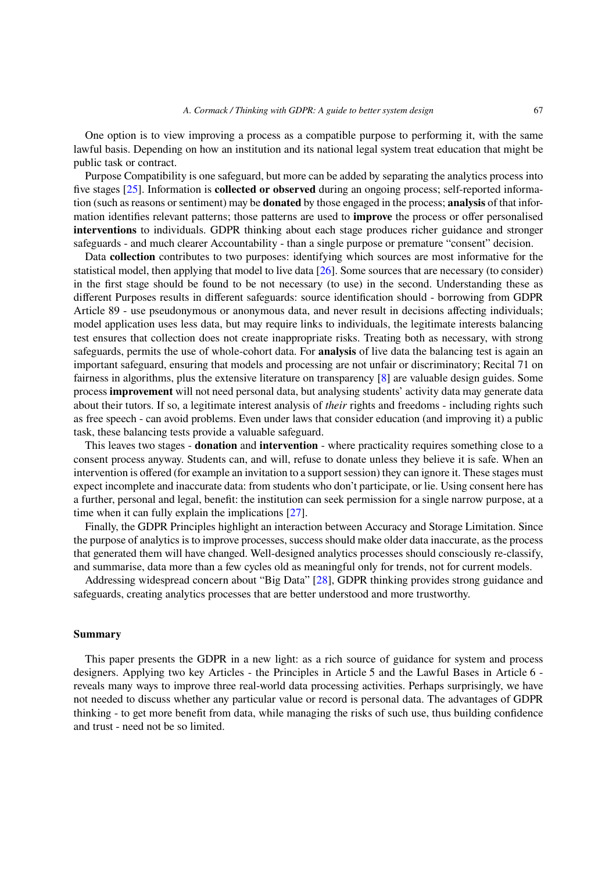One option is to view improving a process as a compatible purpose to performing it, with the same lawful basis. Depending on how an institution and its national legal system treat education that might be public task or contract.

Purpose Compatibility is one safeguard, but more can be added by separating the analytics process into five stages [25]. Information is **collected or observed** during an ongoing process; self-reported information (such as reasons or sentiment) may be **donated** by those engaged in the process; **analysis** of that information identifies relevant patterns; those patterns are used to **improve** the process or offer personalised **interventions** to individuals. GDPR thinking about each stage produces richer guidance and stronger safeguards - and much clearer Accountability - than a single purpose or premature "consent" decision.

Data **collection** contributes to two purposes: identifying which sources are most informative for the statistical model, then applying that model to live data [26]. Some sources that are necessary (to consider) in the first stage should be found to be not necessary (to use) in the second. Understanding these as different Purposes results in different safeguards: source identification should - borrowing from GDPR Article 89 - use pseudonymous or anonymous data, and never result in decisions affecting individuals; model application uses less data, but may require links to individuals, the legitimate interests balancing test ensures that collection does not create inappropriate risks. Treating both as necessary, with strong safeguards, permits the use of whole-cohort data. For **analysis** of live data the balancing test is again an important safeguard, ensuring that models and processing are not unfair or discriminatory; Recital 71 on fairness in algorithms, plus the extensive literature on transparency [8] are valuable design guides. Some process **improvement** will not need personal data, but analysing students' activity data may generate data about their tutors. If so, a legitimate interest analysis of *their* rights and freedoms - including rights such as free speech - can avoid problems. Even under laws that consider education (and improving it) a public task, these balancing tests provide a valuable safeguard.

This leaves two stages - **donation** and **intervention** - where practicality requires something close to a consent process anyway. Students can, and will, refuse to donate unless they believe it is safe. When an intervention is offered (for example an invitation to a support session) they can ignore it. These stages must expect incomplete and inaccurate data: from students who don't participate, or lie. Using consent here has a further, personal and legal, benefit: the institution can seek permission for a single narrow purpose, at a time when it can fully explain the implications [27].

Finally, the GDPR Principles highlight an interaction between Accuracy and Storage Limitation. Since the purpose of analytics is to improve processes, success should make older data inaccurate, as the process that generated them will have changed. Well-designed analytics processes should consciously re-classify, and summarise, data more than a few cycles old as meaningful only for trends, not for current models.

Addressing widespread concern about "Big Data" [28], GDPR thinking provides strong guidance and safeguards, creating analytics processes that are better understood and more trustworthy.

## **Summary**

This paper presents the GDPR in a new light: as a rich source of guidance for system and process designers. Applying two key Articles - the Principles in Article 5 and the Lawful Bases in Article 6 reveals many ways to improve three real-world data processing activities. Perhaps surprisingly, we have not needed to discuss whether any particular value or record is personal data. The advantages of GDPR thinking - to get more benefit from data, while managing the risks of such use, thus building confidence and trust - need not be so limited.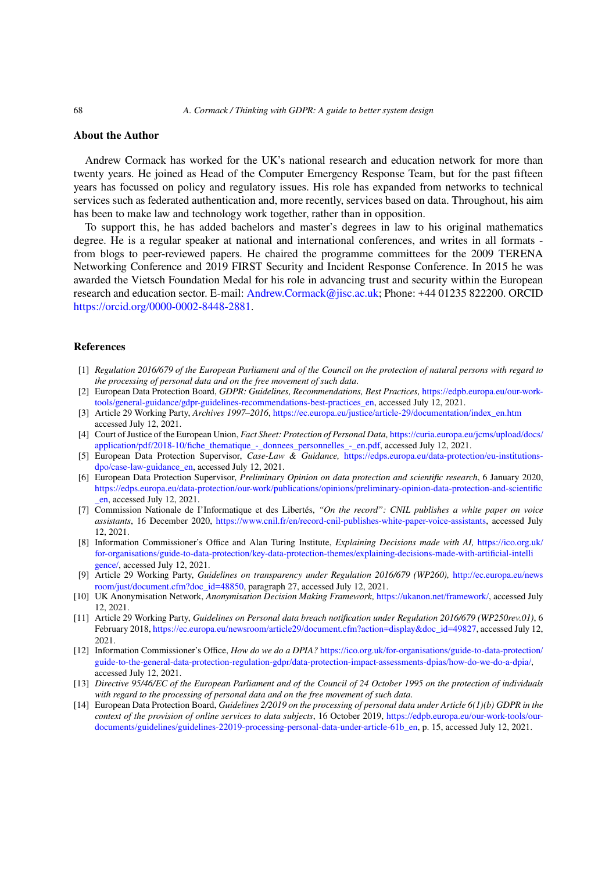## **About the Author**

Andrew Cormack has worked for the UK's national research and education network for more than twenty years. He joined as Head of the Computer Emergency Response Team, but for the past fifteen years has focussed on policy and regulatory issues. His role has expanded from networks to technical services such as federated authentication and, more recently, services based on data. Throughout, his aim has been to make law and technology work together, rather than in opposition.

To support this, he has added bachelors and master's degrees in law to his original mathematics degree. He is a regular speaker at national and international conferences, and writes in all formats from blogs to peer-reviewed papers. He chaired the programme committees for the 2009 TERENA Networking Conference and 2019 FIRST Security and Incident Response Conference. In 2015 he was awarded the Vietsch Foundation Medal for his role in advancing trust and security within the European research and education sector. E-mail: Andrew.Cormack@jisc.ac.uk; Phone: +44 01235 822200. ORCID https://orcid.org/0000-0002-8448-2881.

### **References**

- [1] *[Regulation 2016/679 of the European Par](https://orcid.org/0000-0002-8448-2881)liament and of the Council on the protection of natural persons with regard to the processing of personal data and on the free movement of such data*.
- [2] European Data Protection Board, *GDPR: Guidelines, Recommendations, Best Practices,* https://edpb.europa.eu/our-worktools/general-guidance/gdpr-guidelines-recommendations-best-practices\_en, accessed July 12, 2021.
- [3] Article 29 Working Party, *Archives 1997–2016*, https://ec.europa.eu/justice/article-29/documentation/index\_en.htm accessed July 12, 2021.
- [4] Court of Justice of the European Union, *Fact Sheet: Protection of Personal Data,* https://curia.europa.eu/jcms/upload/docs/ application/pdf/2018-10/fiche\_thematique\_-\_donnees\_personnelles\_-\_en.pdf, accessed [July 12, 2021.](https://edpb.europa.eu/our-work-tools/general-guidance/gdpr-guidelines-recommendations-best-practices_en)
- [5] [European Data Protection Supervisor,](https://edpb.europa.eu/our-work-tools/general-guidance/gdpr-guidelines-recommendations-best-practices_en) *Case-Law & Guidance,* https://edps.europa.eu/data-protection/eu-institutionsdpo/case-law-guidance\_en, accessed July 12, 20[21.](https://ec.europa.eu/justice/article-29/documentation/index_en.htm)
- [6] European Data Protection Supervisor, *Preliminary Opinion on data protection and scientific research*, 6 January 2020, https://edps.europa.eu/data-protection/our-work/publications/opinions/prelimin[ary-opinion-data-protection-and-scientific](https://curia.europa.eu/jcms/upload/docs/application/pdf/2018-10/fiche_thematique_-_donnees_personnelles_-_en.pdf) [\\_en, accessed July 12, 2021.](https://curia.europa.eu/jcms/upload/docs/application/pdf/2018-10/fiche_thematique_-_donnees_personnelles_-_en.pdf)
- [7] Commission Nationale de I'Informatique et des Libertés, *"On t[he record": CNIL publishes a white paper on voice](https://edps.europa.eu/data-protection/eu-institutions-dpo/case-law-guidance_en) assistants*[, 16 December 2](https://edps.europa.eu/data-protection/eu-institutions-dpo/case-law-guidance_en)020, https://www.cnil.fr/en/record-cnil-publishes-white-paper-voice-assistants, accessed July 12, 2021.
- [8] [Information Commissioner's Office and Alan Turing Institute,](https://edps.europa.eu/data-protection/our-work/publications/opinions/preliminary-opinion-data-protection-and-scientific_en) *Explaining Decisions made with AI,* https://ico.org.uk/ [for-](https://edps.europa.eu/data-protection/our-work/publications/opinions/preliminary-opinion-data-protection-and-scientific_en)organisations/guide-to-data-protection/key-data-protection-themes/explaining-decisions-made-with-artificial-intelli gence/, accessed July 12, 2021.
- [9] Article 29 Working Party, *Guid[elines on transparency under Regulation 2016/679 \(WP260\),](https://www.cnil.fr/en/record-cnil-publishes-white-paper-voice-assistants)* http://ec.europa.eu/news room/just/document.cfm?doc\_id=48850, paragraph 27, accessed July 12, 2021.
- [10] UK Anonymisation Network, *Anonymisation Decision Making Framework,* https://ukanon.net/framew[ork/, accessed July](https://ico.org.uk/for-organisations/guide-to-data-protection/key-data-protection-themes/explaining-decisions-made-with-artificial-intelligence/) [12, 2021.](https://ico.org.uk/for-organisations/guide-to-data-protection/key-data-protection-themes/explaining-decisions-made-with-artificial-intelligence/)
- [11] [Article](https://ico.org.uk/for-organisations/guide-to-data-protection/key-data-protection-themes/explaining-decisions-made-with-artificial-intelligence/) 29 Working Party, *Guidelines on Personal data breach notification under Regulation 2016/679 (WP250rev.01)*, 6 February 2018, https://ec.europa.eu/newsroom/article29/document.cfm?action=display&doc\_id[=49827, accessed July 12,](http://ec.europa.eu/newsroom/just/document.cfm?doc_id=48850) [2021.](http://ec.europa.eu/newsroom/just/document.cfm?doc_id=48850)
- [12] Information Commissioner's Office, *How do we do a DPIA?* https://ico.org.[uk/for-organisations/guide-to-d](https://ukanon.net/framework/)ata-protection/ guide-to-the-general-data-protection-regulation-gdpr/data-protection-impact-assessments-dpias/how-do-we-do-a-dpia/, accessed July 12, 2021.
- [13] *Directive 95/46[/EC of the European Parliament and of the Council of 24 October 1995 on the protect](https://ec.europa.eu/newsroom/article29/document.cfm?action=display&doc_id=49827)ion of individuals with regard to the processing of personal data and on the free movement of such data*.
- [14] European Data Protection Board, *Guidelines 2/2019 on the p[rocessing of personal data under Article 6\(1\)\(b\) GDPR in the](https://ico.org.uk/for-organisations/guide-to-data-protection/guide-to-the-general-data-protection-regulation-gdpr/data-protection-impact-assessments-dpias/how-do-we-do-a-dpia/) [context of the provision of online services to data subjects](https://ico.org.uk/for-organisations/guide-to-data-protection/guide-to-the-general-data-protection-regulation-gdpr/data-protection-impact-assessments-dpias/how-do-we-do-a-dpia/)*, 16 October 2019, https://edpb.europa.eu/our-work-tools/ourdocuments/guidelines/guidelines-22019-processing-personal-data-under-article-61b\_en, p. 15, accessed July 12, 2021.